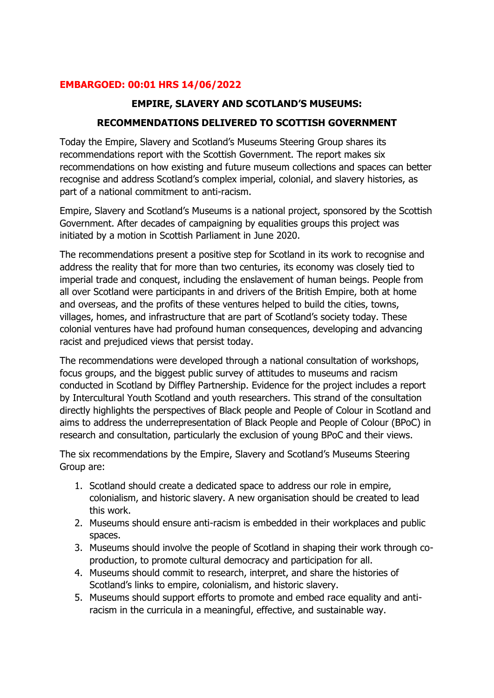#### **EMBARGOED: 00:01 HRS 14/06/2022**

#### **EMPIRE, SLAVERY AND SCOTLAND'S MUSEUMS:**

#### **RECOMMENDATIONS DELIVERED TO SCOTTISH GOVERNMENT**

Today the Empire, Slavery and Scotland's Museums Steering Group shares its recommendations report with the Scottish Government. The report makes six recommendations on how existing and future museum collections and spaces can better recognise and address Scotland's complex imperial, colonial, and slavery histories, as part of a national commitment to anti-racism.

Empire, Slavery and Scotland's Museums is a national project, sponsored by the Scottish Government. After decades of campaigning by equalities groups this project was initiated by a motion in Scottish Parliament in June 2020.

The recommendations present a positive step for Scotland in its work to recognise and address the reality that for more than two centuries, its economy was closely tied to imperial trade and conquest, including the enslavement of human beings. People from all over Scotland were participants in and drivers of the British Empire, both at home and overseas, and the profits of these ventures helped to build the cities, towns, villages, homes, and infrastructure that are part of Scotland's society today. These colonial ventures have had profound human consequences, developing and advancing racist and prejudiced views that persist today.

The recommendations were developed through a national consultation of workshops, focus groups, and the biggest public survey of attitudes to museums and racism conducted in Scotland by Diffley Partnership. Evidence for the project includes a report by Intercultural Youth Scotland and youth researchers. This strand of the consultation directly highlights the perspectives of Black people and People of Colour in Scotland and aims to address the underrepresentation of Black People and People of Colour (BPoC) in research and consultation, particularly the exclusion of young BPoC and their views.

The six recommendations by the Empire, Slavery and Scotland's Museums Steering Group are:

- 1. Scotland should create a dedicated space to address our role in empire, colonialism, and historic slavery. A new organisation should be created to lead this work.
- 2. Museums should ensure anti-racism is embedded in their workplaces and public spaces.
- 3. Museums should involve the people of Scotland in shaping their work through coproduction, to promote cultural democracy and participation for all.
- 4. Museums should commit to research, interpret, and share the histories of Scotland's links to empire, colonialism, and historic slavery.
- 5. Museums should support efforts to promote and embed race equality and antiracism in the curricula in a meaningful, effective, and sustainable way.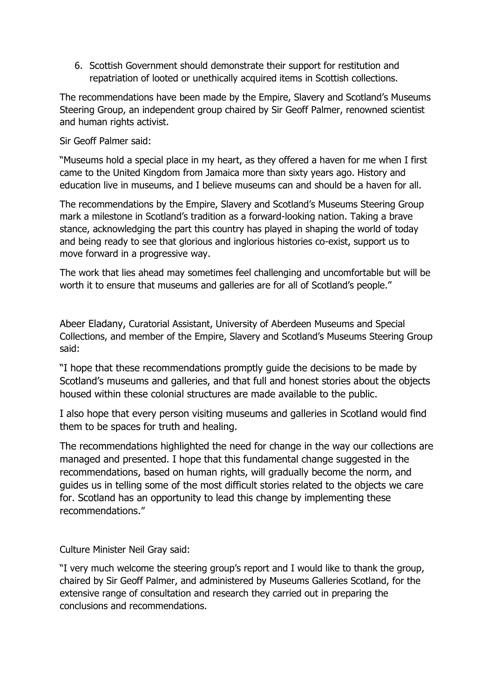6. Scottish Government should demonstrate their support for restitution and repatriation of looted or unethically acquired items in Scottish collections.

The recommendations have been made by the Empire, Slavery and Scotland's Museums Steering Group, an independent group chaired by Sir Geoff Palmer, renowned scientist and human rights activist.

Sir Geoff Palmer said:

"Museums hold a special place in my heart, as they offered a haven for me when I first came to the United Kingdom from Jamaica more than sixty years ago. History and education live in museums, and I believe museums can and should be a haven for all.

The recommendations by the Empire, Slavery and Scotland's Museums Steering Group mark a milestone in Scotland's tradition as a forward-looking nation. Taking a brave stance, acknowledging the part this country has played in shaping the world of today and being ready to see that glorious and inglorious histories co-exist, support us to move forward in a progressive way.

The work that lies ahead may sometimes feel challenging and uncomfortable but will be worth it to ensure that museums and galleries are for all of Scotland's people."

Abeer Eladany, Curatorial Assistant, University of Aberdeen Museums and Special Collections, and member of the Empire, Slavery and Scotland's Museums Steering Group said:

"I hope that these recommendations promptly guide the decisions to be made by Scotland's museums and galleries, and that full and honest stories about the objects housed within these colonial structures are made available to the public.

I also hope that every person visiting museums and galleries in Scotland would find them to be spaces for truth and healing.

The recommendations highlighted the need for change in the way our collections are managed and presented. I hope that this fundamental change suggested in the recommendations, based on human rights, will gradually become the norm, and guides us in telling some of the most difficult stories related to the objects we care for. Scotland has an opportunity to lead this change by implementing these recommendations."

Culture Minister Neil Gray said:

"I very much welcome the steering group's report and I would like to thank the group, chaired by Sir Geoff Palmer, and administered by Museums Galleries Scotland, for the extensive range of consultation and research they carried out in preparing the conclusions and recommendations.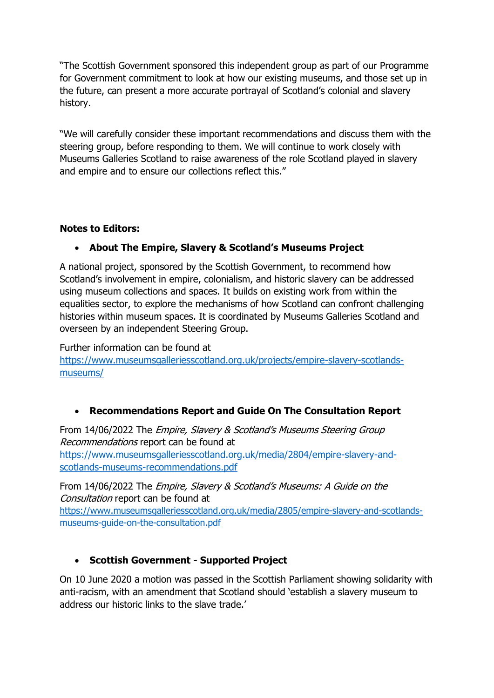"The Scottish Government sponsored this independent group as part of our Programme for Government commitment to look at how our existing museums, and those set up in the future, can present a more accurate portrayal of Scotland's colonial and slavery history.

"We will carefully consider these important recommendations and discuss them with the steering group, before responding to them. We will continue to work closely with Museums Galleries Scotland to raise awareness of the role Scotland played in slavery and empire and to ensure our collections reflect this."

#### **Notes to Editors:**

### • **About The Empire, Slavery & Scotland's Museums Project**

A national project, sponsored by the Scottish Government, to recommend how Scotland's involvement in empire, colonialism, and historic slavery can be addressed using museum collections and spaces. It builds on existing work from within the equalities sector, to explore the mechanisms of how Scotland can confront challenging histories within museum spaces. It is coordinated by Museums Galleries Scotland and overseen by an independent Steering Group.

Further information can be found at [https://www.museumsgalleriesscotland.org.uk/projects/empire-slavery-scotlands](https://www.museumsgalleriesscotland.org.uk/projects/empire-slavery-scotlands-museums/)[museums/](https://www.museumsgalleriesscotland.org.uk/projects/empire-slavery-scotlands-museums/)

#### • **Recommendations Report and Guide On The Consultation Report**

From 14/06/2022 The Empire, Slavery & Scotland's Museums Steering Group Recommendations report can be found at [https://www.museumsgalleriesscotland.org.uk/media/2804/empire-slavery-and](https://www.museumsgalleriesscotland.org.uk/media/2804/empire-slavery-and-scotlands-museums-recommendations.pdf)[scotlands-museums-recommendations.pdf](https://www.museumsgalleriesscotland.org.uk/media/2804/empire-slavery-and-scotlands-museums-recommendations.pdf)

From 14/06/2022 The Empire, Slavery & Scotland's Museums: A Guide on the Consultation report can be found at [https://www.museumsgalleriesscotland.org.uk/media/2805/empire-slavery-and-scotlands](https://www.museumsgalleriesscotland.org.uk/media/2805/empire-slavery-and-scotlands-museums-guide-on-the-consultation.pdf)[museums-guide-on-the-consultation.pdf](https://www.museumsgalleriesscotland.org.uk/media/2805/empire-slavery-and-scotlands-museums-guide-on-the-consultation.pdf)

#### • **Scottish Government - Supported Project**

On 10 June 2020 a motion was passed in the Scottish Parliament showing solidarity with anti-racism, with an amendment that Scotland should 'establish a slavery museum to address our historic links to the slave trade.'